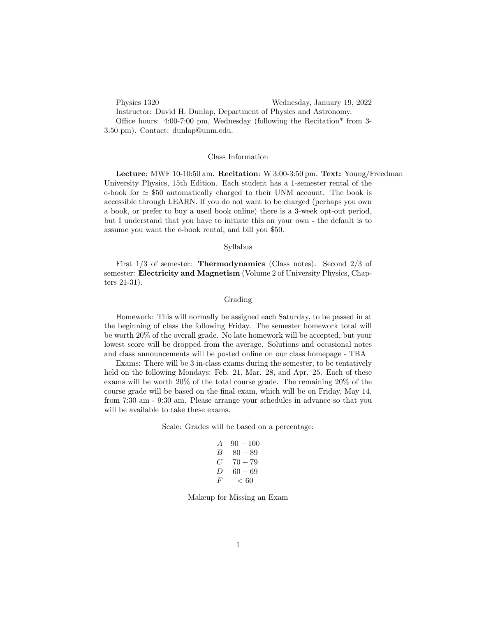Physics 1320 Wednesday, January 19, 2022 Instructor: David H. Dunlap, Department of Physics and Astronomy. Office hours:  $4:00-7:00 \text{ pm}$ , Wednesday (following the Recitation\* from 3-3:50 pm). Contact: dunlap@unm.edu.

## Class Information

Lecture: MWF 10-10:50 am. Recitation: W 3:00-3:50 pm. Text: Young/Freedman University Physics, 15th Edition. Each student has a 1-semester rental of the e-book for  $\simeq$  \$50 automatically charged to their UNM account. The book is accessible through LEARN. If you do not want to be charged (perhaps you own a book, or prefer to buy a used book online) there is a 3-week opt-out period, but I understand that you have to initiate this on your own - the default is to assume you want the e-book rental, and bill you \$50.

## Syllabus

First 1/3 of semester: Thermodynamics (Class notes). Second 2/3 of semester: Electricity and Magnetism (Volume 2 of University Physics, Chapters 21-31).

## Grading

Homework: This will normally be assigned each Saturday, to be passed in at the beginning of class the following Friday. The semester homework total will be worth 20% of the overall grade. No late homework will be accepted, but your lowest score will be dropped from the average. Solutions and occasional notes and class announcements will be posted online on our class homepage - TBA

Exams: There will be 3 in-class exams during the semester, to be tentatively held on the following Mondays: Feb. 21, Mar. 28, and Apr. 25. Each of these exams will be worth 20% of the total course grade. The remaining 20% of the course grade will be based on the final exam, which will be on Friday, May 14, from 7:30 am - 9:30 am. Please arrange your schedules in advance so that you will be available to take these exams.

Scale: Grades will be based on a percentage:

| $\overline{A}$ | $90 - 100$ |
|----------------|------------|
| В              | $80 - 89$  |
| C              | $70 - 79$  |
| $\prime$       | 60 — 69    |
| $H^1$          | < 60       |

Makeup for Missing an Exam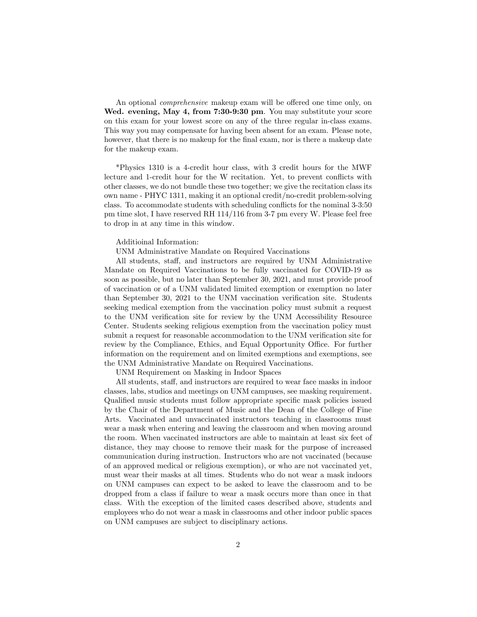An optional *comprehensive* makeup exam will be offered one time only, on Wed. evening, May 4, from 7:30-9:30 pm. You may substitute your score on this exam for your lowest score on any of the three regular in-class exams. This way you may compensate for having been absent for an exam. Please note, however, that there is no makeup for the final exam, nor is there a makeup date for the makeup exam.

\*Physics 1310 is a 4-credit hour class, with 3 credit hours for the MWF lecture and 1-credit hour for the W recitation. Yet, to prevent conflicts with other classes, we do not bundle these two together; we give the recitation class its own name - PHYC 1311, making it an optional credit/no-credit problem-solving class. To accommodate students with scheduling conflicts for the nominal 3-3:50 pm time slot, I have reserved RH 114/116 from 3-7 pm every W. Please feel free to drop in at any time in this window.

## Additioinal Information:

UNM Administrative Mandate on Required Vaccinations

All students, staff, and instructors are required by UNM Administrative Mandate on Required Vaccinations to be fully vaccinated for COVID-19 as soon as possible, but no later than September 30, 2021, and must provide proof of vaccination or of a UNM validated limited exemption or exemption no later than September 30, 2021 to the UNM vaccination verification site. Students seeking medical exemption from the vaccination policy must submit a request to the UNM verification site for review by the UNM Accessibility Resource Center. Students seeking religious exemption from the vaccination policy must submit a request for reasonable accommodation to the UNM verification site for review by the Compliance, Ethics, and Equal Opportunity Office. For further information on the requirement and on limited exemptions and exemptions, see the UNM Administrative Mandate on Required Vaccinations.

UNM Requirement on Masking in Indoor Spaces

All students, staff, and instructors are required to wear face masks in indoor classes, labs, studios and meetings on UNM campuses, see masking requirement. Qualified music students must follow appropriate specific mask policies issued by the Chair of the Department of Music and the Dean of the College of Fine Arts. Vaccinated and unvaccinated instructors teaching in classrooms must wear a mask when entering and leaving the classroom and when moving around the room. When vaccinated instructors are able to maintain at least six feet of distance, they may choose to remove their mask for the purpose of increased communication during instruction. Instructors who are not vaccinated (because of an approved medical or religious exemption), or who are not vaccinated yet, must wear their masks at all times. Students who do not wear a mask indoors on UNM campuses can expect to be asked to leave the classroom and to be dropped from a class if failure to wear a mask occurs more than once in that class. With the exception of the limited cases described above, students and employees who do not wear a mask in classrooms and other indoor public spaces on UNM campuses are subject to disciplinary actions.